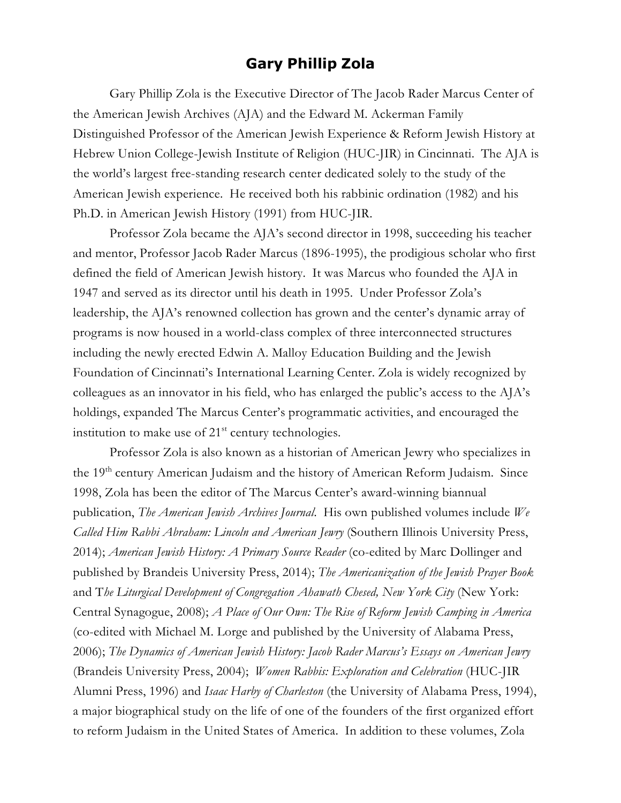## **Gary Phillip Zola**

Gary Phillip Zola is the Executive Director of The Jacob Rader Marcus Center of the American Jewish Archives (AJA) and the Edward M. Ackerman Family Distinguished Professor of the American Jewish Experience & Reform Jewish History at Hebrew Union College-Jewish Institute of Religion (HUC-JIR) in Cincinnati. The AJA is the world's largest free-standing research center dedicated solely to the study of the American Jewish experience. He received both his rabbinic ordination (1982) and his Ph.D. in American Jewish History (1991) from HUC-JIR.

Professor Zola became the AJA's second director in 1998, succeeding his teacher and mentor, Professor Jacob Rader Marcus (1896-1995), the prodigious scholar who first defined the field of American Jewish history. It was Marcus who founded the AJA in 1947 and served as its director until his death in 1995. Under Professor Zola's leadership, the AJA's renowned collection has grown and the center's dynamic array of programs is now housed in a world-class complex of three interconnected structures including the newly erected Edwin A. Malloy Education Building and the Jewish Foundation of Cincinnati's International Learning Center. Zola is widely recognized by colleagues as an innovator in his field, who has enlarged the public's access to the AJA's holdings, expanded The Marcus Center's programmatic activities, and encouraged the institution to make use of  $21<sup>st</sup>$  century technologies.

Professor Zola is also known as a historian of American Jewry who specializes in the 19<sup>th</sup> century American Judaism and the history of American Reform Judaism. Since 1998, Zola has been the editor of The Marcus Center's award-winning biannual publication, *The American Jewish Archives Journal.* His own published volumes include *We Called Him Rabbi Abraham: Lincoln and American Jewry* (Southern Illinois University Press, 2014); *American Jewish History: A Primary Source Reader* (co-edited by Marc Dollinger and published by Brandeis University Press, 2014); *The Americanization of the Jewish Prayer Book* and T*he Liturgical Development of Congregation Ahawath Chesed, New York City* (New York: Central Synagogue, 2008); *A Place of Our Own: The Rise of Reform Jewish Camping in America* (co-edited with Michael M. Lorge and published by the University of Alabama Press, 2006); *The Dynamics of American Jewish History: Jacob Rader Marcus's Essays on American Jewry* (Brandeis University Press, 2004); *Women Rabbis: Exploration and Celebration* (HUC-JIR Alumni Press, 1996) and *Isaac Harby of Charleston* (the University of Alabama Press, 1994), a major biographical study on the life of one of the founders of the first organized effort to reform Judaism in the United States of America. In addition to these volumes, Zola